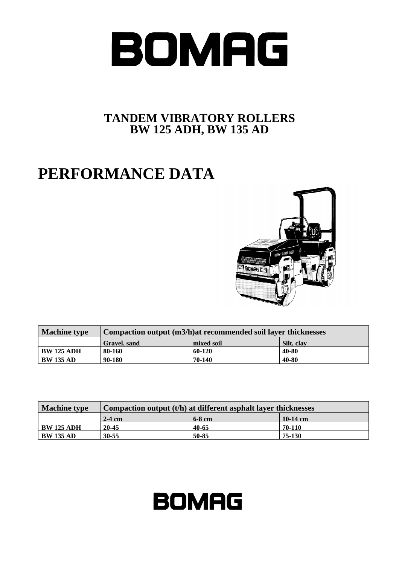

## **TANDEM VIBRATORY ROLLERS BW 125 ADH, BW 135 AD**

## **PERFORMANCE DATA**



| <b>Machine type</b> | Compaction output (m3/h) at recommended soil layer thicknesses |            |            |  |  |  |  |  |
|---------------------|----------------------------------------------------------------|------------|------------|--|--|--|--|--|
|                     | <b>Gravel</b> , sand                                           | mixed soil | Silt, clay |  |  |  |  |  |
| <b>BW 125 ADH</b>   | 80-160                                                         | 60-120     | 40-80      |  |  |  |  |  |
| <b>BW 135 AD</b>    | 90-180                                                         | 70-140     | 40-80      |  |  |  |  |  |

| <b>Machine type</b> | Compaction output $(t/h)$ at different asphalt layer thicknesses |          |          |  |  |  |  |  |
|---------------------|------------------------------------------------------------------|----------|----------|--|--|--|--|--|
|                     | $2-4$ cm                                                         | $6-8$ cm | 10-14 cm |  |  |  |  |  |
| <b>BW 125 ADH</b>   | 20-45                                                            | 40-65    | 70-110   |  |  |  |  |  |
| <b>BW 135 AD</b>    | $30 - 55$                                                        | 50-85    | 75-130   |  |  |  |  |  |